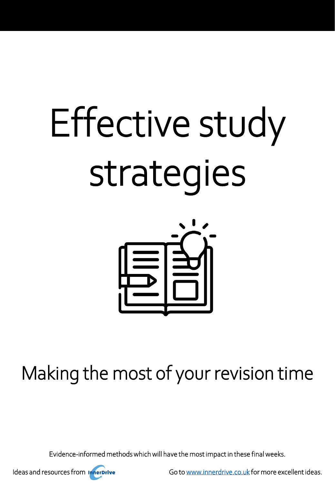# Effective study strategies



Making the most of your revision time

Evidence-informed methods which will have the most impact in these final weeks.



Ideas and resources from **Innerprive** Go to [www.innerdrive.co.uk](http://www.innerdrive.co.uk/) for more excellent ideas.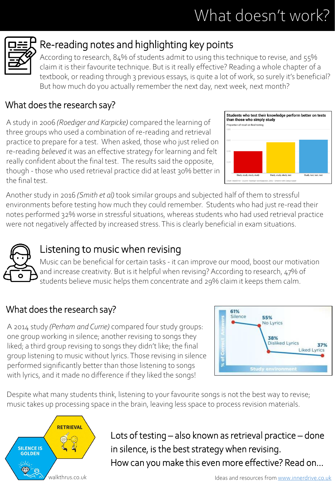# What doesn't work?



# Re-reading notes and highlighting key points

According to research, 84% of students admit to using this technique to revise, and 55% claim it is their favourite technique. But is it really effective? Reading a whole chapter of a textbook, or reading through 3 previous essays, is quite a lot of work, so surely it's beneficial? But how much do you actually remember the next day, next week, next month?

#### What does the research say?

A study in 2006 *(Roediger and Karpicke)* compared the learning of three groups who used a combination of re-reading and retrieval practice to prepare for a test. When asked, those who just relied on re-reading *believed* it was an effective strategy for learning and felt really confident about the final test. The results said the opposite, though - those who used retrieval practice did at least 30% better in the final test.



Another study in 2016 *(Smith et al)* took similar groups and subjected half of them to stressful environments before testing how much they could remember. Students who had just re-read their notes performed 32% worse in stressful situations, whereas students who had used retrieval practice were not negatively affected by increased stress. This is clearly beneficial in exam situations.



# Listening to music when revising

Music can be beneficial for certain tasks - it can improve our mood, boost our motivation and increase creativity. But is it helpful when revising? According to research, 47% of students believe music helps them concentrate and 29% claim it keeps them calm.

### What does the research say?

A 2014 study *(Perham and Currie)* compared four study groups: one group working in silence; another revising to songs they liked; a third group revising to songs they didn't like; the final group listening to music without lyrics. Those revising in silence performed significantly better than those listening to songs with lyrics, and it made no difference if they liked the songs!



Despite what many students think, listening to your favourite songs is not the best way to revise; music takes up processing space in the brain, leaving less space to process revision materials.



Lots of testing – also known as retrieval practice – done in silence, is the best strategy when revising. How can you make this even more effective? Read on…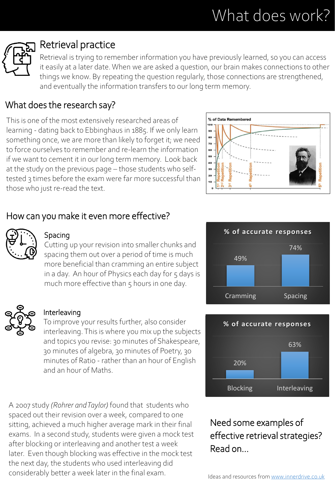# What does work?



# Retrieval practice

Retrieval is trying to remember information you have previously learned, so you can access it easily at a later date. When we are asked a question, our brain makes connections to other things we know. By repeating the question regularly, those connections are strengthened, and eventually the information transfers to our long term memory.

#### What does the research say?

This is one of the most extensively researched areas of learning - dating back to Ebbinghaus in 1885. If we only learn something once, we are more than likely to forget it; we need to force ourselves to remember and re-learn the information if we want to cement it in our long term memory. Look back at the study on the previous page – those students who selftested 3 times before the exam were far more successful than those who just re-read the text.



#### How can you make it even more effective?



#### Spacing

Cutting up your revision into smaller chunks and spacing them out over a period of time is much more beneficial than cramming an entire subject in a day. An hour of Physics each day for 5 days is much more effective than  $5$  hours in one day.



#### Interleaving

To improve your results further, also consider interleaving. This is where you mix up the subjects and topics you revise: 30 minutes of Shakespeare, 30 minutes of algebra, 30 minutes of Poetry, 30 minutes of Ratio - rather than an hour of English and an hour of Maths.

A 2007 study *(Rohrer and Taylor)* found that students who spaced out their revision over a week, compared to one sitting, achieved a much higher average mark in their final exams. In a second study, students were given a mock test after blocking or interleaving and another test a week later. Even though blocking was effective in the mock test the next day, the students who used interleaving did considerably better a week later in the final exam.





#### Need some examples of effective retrieval strategies? Read on…

Ideas and resources from [www.innerdrive.co.uk](http://www.innerdrive.co.uk/)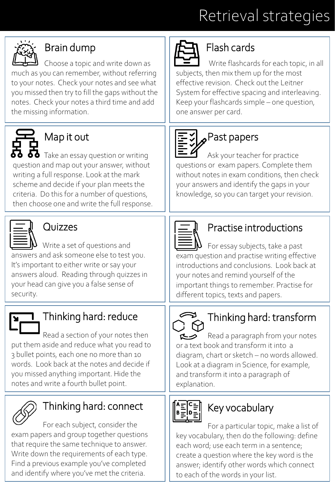# Retrieval strategies



# Brain dump

Choose a topic and write down as much as you can remember, without referring to your notes. Check your notes and see what you missed then try to fill the gaps without the notes. Check your notes a third time and add the missing information.



# Map it out

 $\bullet\bullet$  Take an essay question or writing question and map out your answer, without writing a full response. Look at the mark scheme and decide if your plan meets the criteria. Do this for a number of questions, then choose one and write the full response.



# Quizzes

Write a set of questions and answers and ask someone else to test you. It's important to either write or say your answers aloud. Reading through quizzes in your head can give you a false sense of security.

# Thinking hard: reduce

Read a section of your notes then put them aside and reduce what you read to 3 bullet points, each one no more than 10 words. Look back at the notes and decide if you missed anything important. Hide the notes and write a fourth bullet point.



# Thinking hard: connect

For each subject, consider the exam papers and group together questions that require the same technique to answer. Write down the requirements of each type. Find a previous example you've completed and identify where you've met the criteria.



# Flash cards

Write flashcards for each topic, in all subjects, then mix them up for the most effective revision. Check out the Leitner System for effective spacing and interleaving. Keep your flashcards simple – one question, one answer per card.



# $\mathcal{I}_{\mathbf{A}}$ Past papers

Ask your teacher for practice questions or exam papers. Complete them without notes in exam conditions, then check your answers and identify the gaps in your knowledge, so you can target your revision.



# Practise introductions

For essay subjects, take a past exam question and practise writing effective introductions and conclusions. Look back at your notes and remind yourself of the important things to remember. Practise for different topics, texts and papers.

# Thinking hard: transform

Read a paragraph from your notes くっ or a text book and transform it into a diagram, chart or sketch – no words allowed. Look at a diagram in Science, for example, and transform it into a paragraph of explanation.

# Key vocabulary

For a particular topic, make a list of key vocabulary, then do the following: define each word; use each term in a sentence; create a question where the key word is the answer; identify other words which connect to each of the words in your list.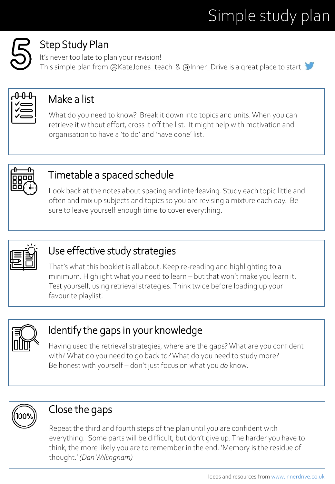# Simple study plan

# Step Study Plan

It's never too late to plan your revision! This simple plan from @KateJones\_teach & @Inner\_Drive is a great place to start.



# Make a list

What do you need to know? Break it down into topics and units. When you can retrieve it without effort, cross it off the list. It might help with motivation and organisation to have a 'to do' and 'have done' list.



# Timetable a spaced schedule

Look back at the notes about spacing and interleaving. Study each topic little and often and mix up subjects and topics so you are revising a mixture each day. Be sure to leave yourself enough time to cover everything.



# Use effective study strategies

That's what this booklet is all about. Keep re-reading and highlighting to a minimum. Highlight what you need to learn – but that won't make you learn it. Test yourself, using retrieval strategies. Think twice before loading up your favourite playlist!



# Identify the gaps in your knowledge

Having used the retrieval strategies, where are the gaps? What are you confident with? What do you need to go back to? What do you need to study more? Be honest with yourself – don't just focus on what you *do* know.



# Close the gaps

Repeat the third and fourth steps of the plan until you are confident with everything. Some parts will be difficult, but don't give up. The harder you have to think, the more likely you are to remember in the end. 'Memory is the residue of thought.' *(Dan Willingham)*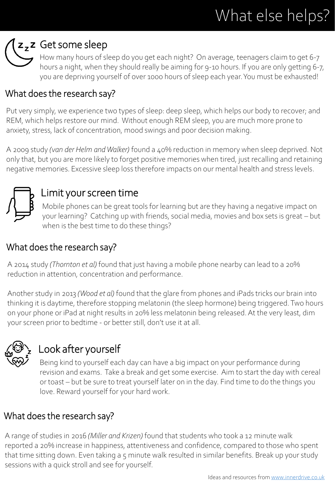# What else helps?

# z<sub>z</sub>z Get some sleep

How many hours of sleep do you get each night? On average, teenagers claim to get 6-7 hours a night, when they should really be aiming for 9-10 hours. If you are only getting 6-7, you are depriving yourself of over 1000 hours of sleep each year. You must be exhausted!

#### What does the research say?

Put very simply, we experience two types of sleep: deep sleep, which helps our body to recover; and REM, which helps restore our mind. Without enough REM sleep, you are much more prone to anxiety, stress, lack of concentration, mood swings and poor decision making.

A 2009 study *(van der Helm and Walker)* found a 40% reduction in memory when sleep deprived. Not only that, but you are more likely to forget positive memories when tired, just recalling and retaining negative memories. Excessive sleep loss therefore impacts on our mental health and stress levels.



# Limit your screen time

Mobile phones can be great tools for learning but are they having a negative impact on your learning? Catching up with friends, social media, movies and box sets is great – but when is the best time to do these things?

#### What does the research say?

A 2014 study *(Thornton et al)* found that just having a mobile phone nearby can lead to a 20% reduction in attention, concentration and performance.

Another study in 2013 *(Wood et al)* found that the glare from phones and iPads tricks our brain into thinking it is daytime, therefore stopping melatonin (the sleep hormone) being triggered. Two hours on your phone or iPad at night results in 20% less melatonin being released. At the very least, dim your screen prior to bedtime - or better still, don't use it at all.



# Look after yourself

Being kind to yourself each day can have a big impact on your performance during revision and exams. Take a break and get some exercise. Aim to start the day with cereal or toast – but be sure to treat yourself later on in the day. Find time to do the things you love. Reward yourself for your hard work.

### What does the research say?

A range of studies in 2016 *(Miller and Krizen)* found that students who took a 12 minute walk reported a 20% increase in happiness, attentiveness and confidence, compared to those who spent that time sitting down. Even taking a 5 minute walk resulted in similar benefits. Break up your study sessions with a quick stroll and see for yourself.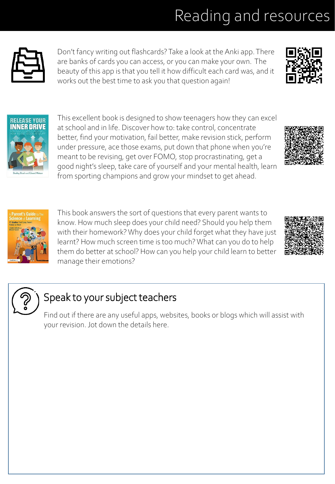# Reading and resources



Don't fancy writing out flashcards? Take a look at the Anki app. There are banks of cards you can access, or you can make your own. The beauty of this app is that you tell it how difficult each card was, and it works out the best time to ask you that question again!





This excellent book is designed to show teenagers how they can excel at school and in life. Discover how to: take control, concentrate better, find your motivation, fail better, make revision stick, perform under pressure, ace those exams, put down that phone when you're meant to be revising, get over FOMO, stop procrastinating, get a good night's sleep, take care of yourself and your mental health, learn from sporting champions and grow your mindset to get ahead.





This book answers the sort of questions that every parent wants to know. How much sleep does your child need? Should you help them with their homework? Why does your child forget what they have just learnt? How much screen time is too much? What can you do to help them do better at school? How can you help your child learn to better manage their emotions?





# Speak to your subject teachers

Find out if there are any useful apps, websites, books or blogs which will assist with your revision. Jot down the details here.